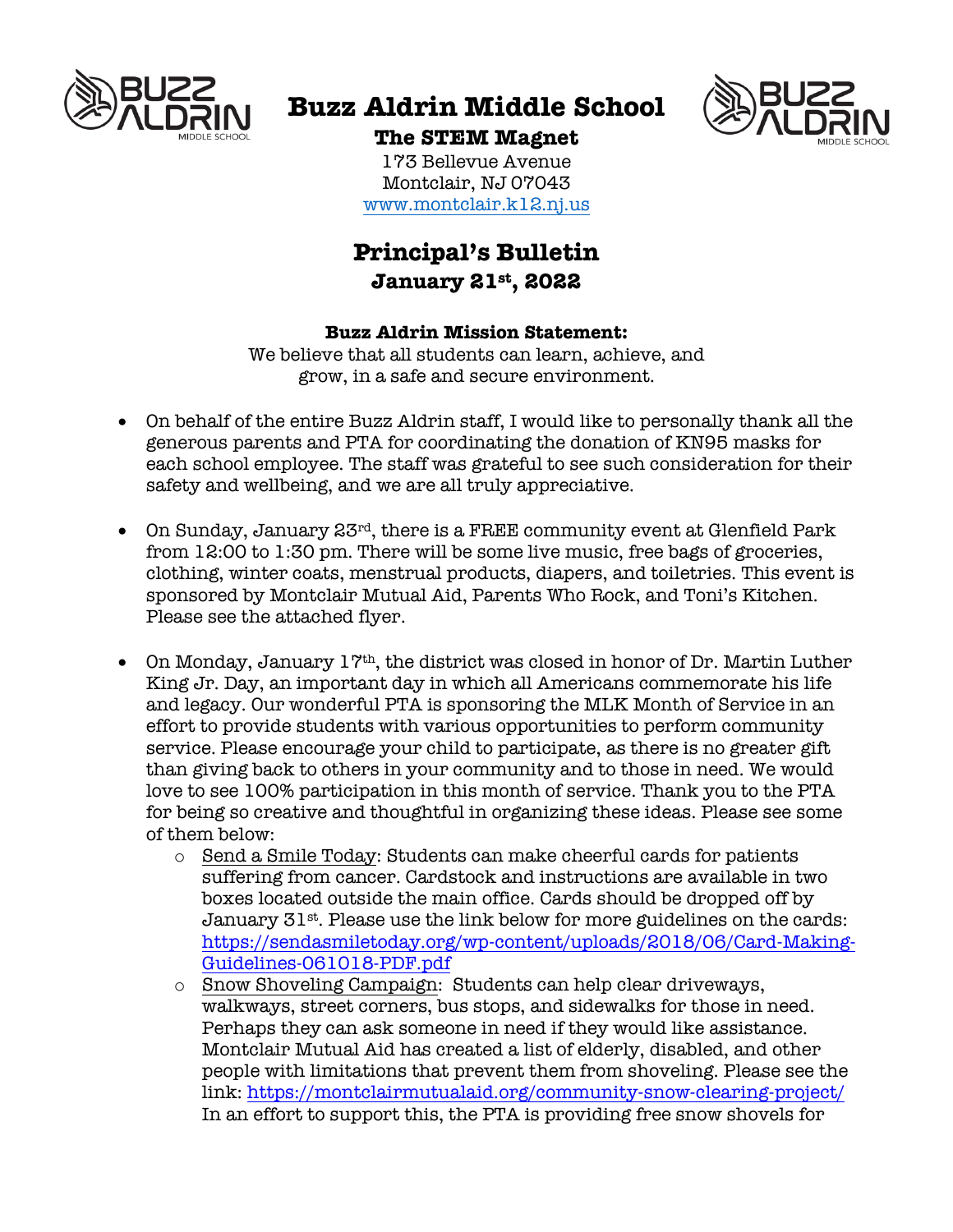

# **Buzz Aldrin Middle School**



## **The STEM Magnet**

173 Bellevue Avenue Montclair, NJ 07043 www.montclair.k12.nj.us

## **Principal's Bulletin January 21st, 2022**

#### **Buzz Aldrin Mission Statement:**

We believe that all students can learn, achieve, and grow, in a safe and secure environment.

- On behalf of the entire Buzz Aldrin staff, I would like to personally thank all the generous parents and PTA for coordinating the donation of KN95 masks for each school employee. The staff was grateful to see such consideration for their safety and wellbeing, and we are all truly appreciative.
- On Sunday, January 23rd, there is a FREE community event at Glenfield Park from 12:00 to 1:30 pm. There will be some live music, free bags of groceries, clothing, winter coats, menstrual products, diapers, and toiletries. This event is sponsored by Montclair Mutual Aid, Parents Who Rock, and Toni's Kitchen. Please see the attached flyer.
- On Monday, January 17th, the district was closed in honor of Dr. Martin Luther King Jr. Day, an important day in which all Americans commemorate his life and legacy. Our wonderful PTA is sponsoring the MLK Month of Service in an effort to provide students with various opportunities to perform community service. Please encourage your child to participate, as there is no greater gift than giving back to others in your community and to those in need. We would love to see 100% participation in this month of service. Thank you to the PTA for being so creative and thoughtful in organizing these ideas. Please see some of them below:
	- o Send a Smile Today: Students can make cheerful cards for patients suffering from cancer. Cardstock and instructions are available in two boxes located outside the main office. Cards should be dropped off by January 31st. Please use the link below for more guidelines on the cards: https://sendasmiletoday.org/wp-content/uploads/2018/06/Card-Making-Guidelines-061018-PDF.pdf
	- o Snow Shoveling Campaign: Students can help clear driveways, walkways, street corners, bus stops, and sidewalks for those in need. Perhaps they can ask someone in need if they would like assistance. Montclair Mutual Aid has created a list of elderly, disabled, and other people with limitations that prevent them from shoveling. Please see the link: https://montclairmutualaid.org/community-snow-clearing-project/ In an effort to support this, the PTA is providing free snow shovels for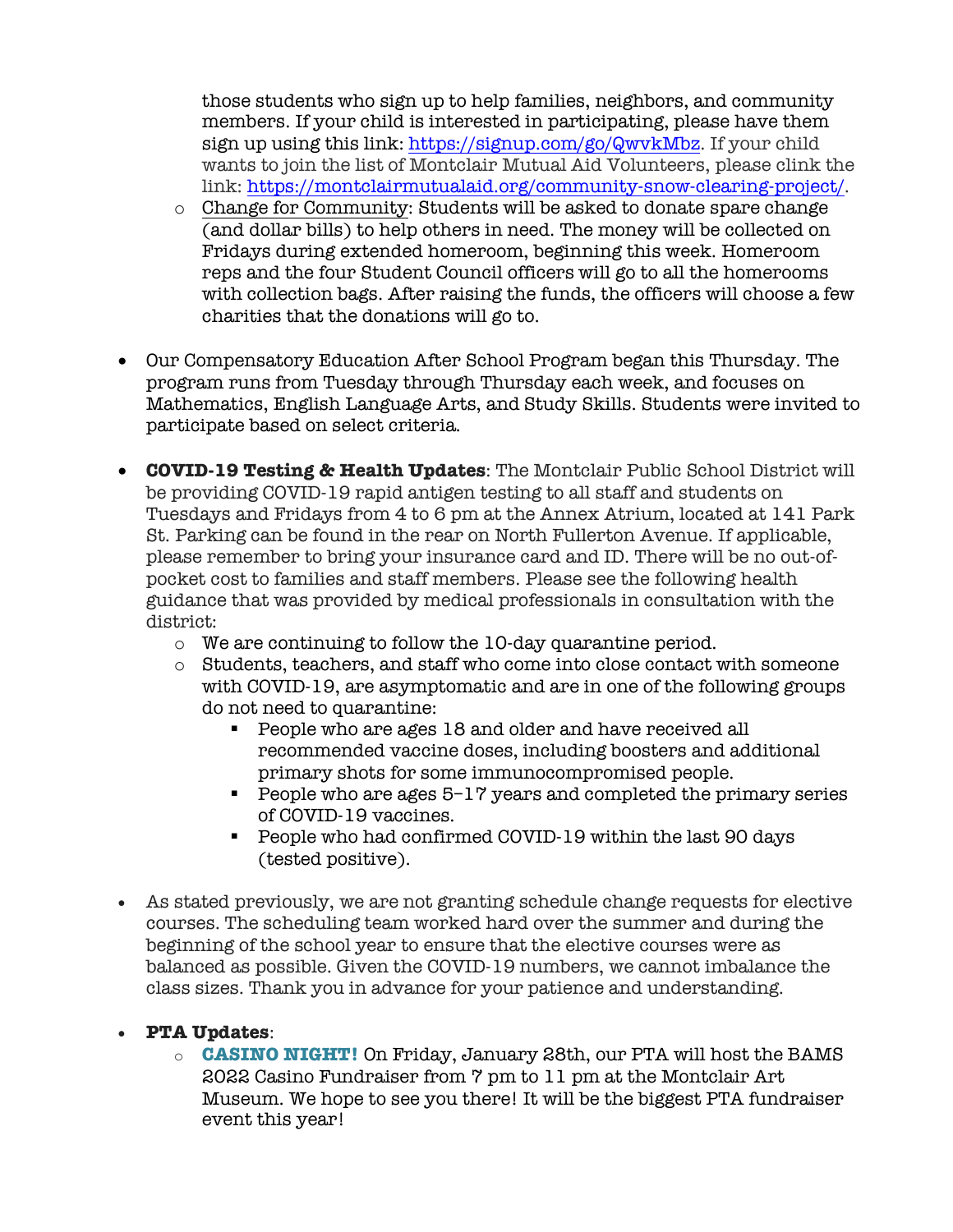those students who sign up to help families, neighbors, and community members. If your child is interested in participating, please have them sign up using this link: https://signup.com/go/QwvkMbz. If your child wants to join the list of Montclair Mutual Aid Volunteers, please clink the link: https://montclairmutualaid.org/community-snow-clearing-project/.

- $\circ$  Change for Community: Students will be asked to donate spare change (and dollar bills) to help others in need. The money will be collected on Fridays during extended homeroom, beginning this week. Homeroom reps and the four Student Council officers will go to all the homerooms with collection bags. After raising the funds, the officers will choose a few charities that the donations will go to.
- Our Compensatory Education After School Program began this Thursday. The program runs from Tuesday through Thursday each week, and focuses on Mathematics, English Language Arts, and Study Skills. Students were invited to participate based on select criteria.
- **COVID-19 Testing & Health Updates**: The Montclair Public School District will be providing COVID-19 rapid antigen testing to all staff and students on Tuesdays and Fridays from 4 to 6 pm at the Annex Atrium, located at 141 Park St. Parking can be found in the rear on North Fullerton Avenue. If applicable, please remember to bring your insurance card and ID. There will be no out-ofpocket cost to families and staff members. Please see the following health guidance that was provided by medical professionals in consultation with the district:
	- o We are continuing to follow the 10-day quarantine period.
	- o Students, teachers, and staff who come into close contact with someone with COVID-19, are asymptomatic and are in one of the following groups do not need to quarantine:
		- People who are ages 18 and older and have received all recommended vaccine doses, including boosters and additional primary shots for some immunocompromised people.
		- People who are ages 5–17 years and completed the primary series of COVID-19 vaccines.
		- People who had confirmed COVID-19 within the last 90 days (tested positive).
- As stated previously, we are not granting schedule change requests for elective courses. The scheduling team worked hard over the summer and during the beginning of the school year to ensure that the elective courses were as balanced as possible. Given the COVID-19 numbers, we cannot imbalance the class sizes. Thank you in advance for your patience and understanding.

### • **PTA Updates**:

o **CASINO NIGHT!** On Friday, January 28th, our PTA will host the BAMS 2022 Casino Fundraiser from 7 pm to 11 pm at the Montclair Art Museum. We hope to see you there! It will be the biggest PTA fundraiser event this year!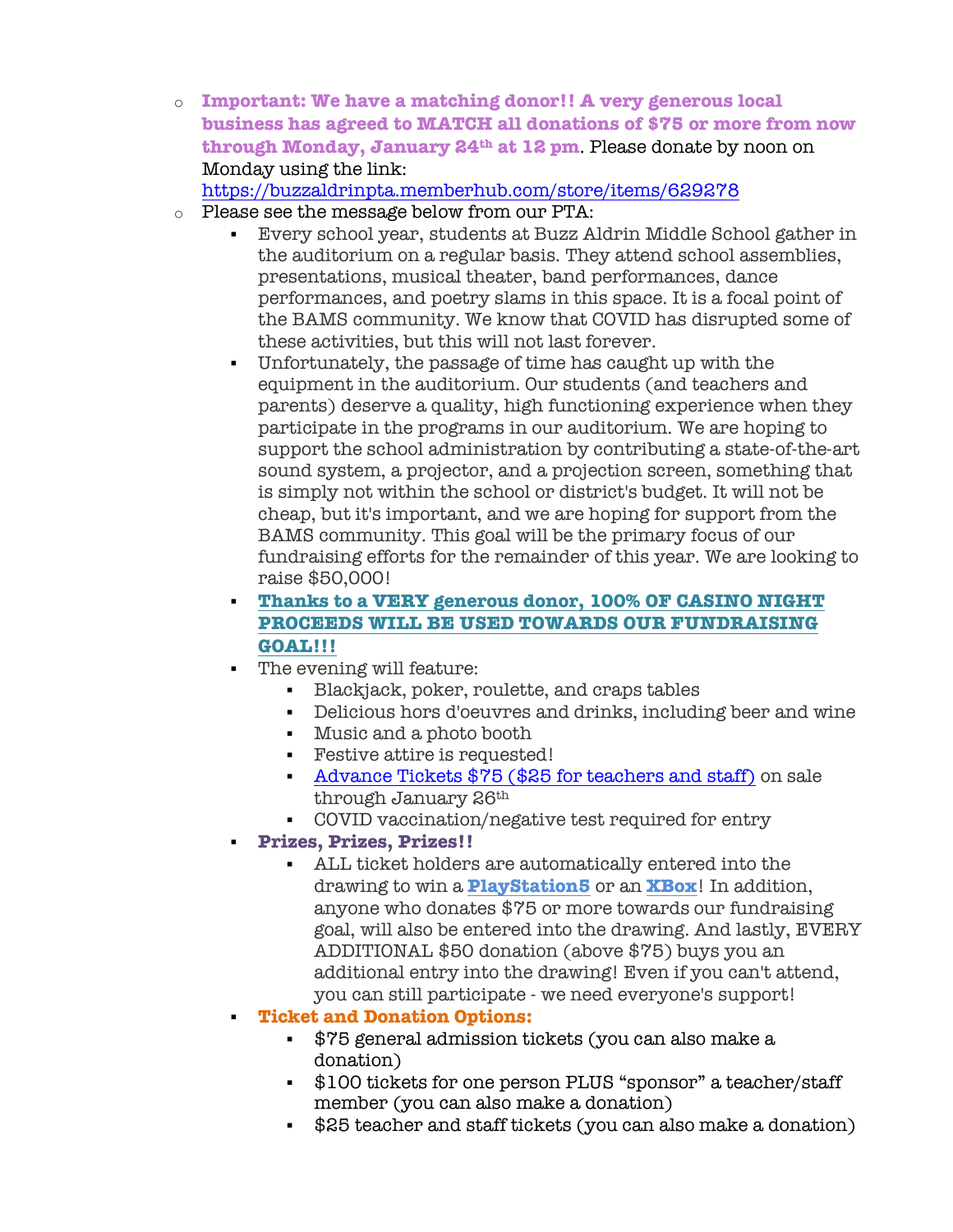o **Important: We have a matching donor!! A very generous local business has agreed to MATCH all donations of \$75 or more from now through Monday, January 24th at 12 pm**. Please donate by noon on Monday using the link:

https://buzzaldrinpta.memberhub.com/store/items/629278

- o Please see the message below from our PTA:
	- § Every school year, students at Buzz Aldrin Middle School gather in the auditorium on a regular basis. They attend school assemblies, presentations, musical theater, band performances, dance performances, and poetry slams in this space. It is a focal point of the BAMS community. We know that COVID has disrupted some of these activities, but this will not last forever.
	- § Unfortunately, the passage of time has caught up with the equipment in the auditorium. Our students (and teachers and parents) deserve a quality, high functioning experience when they participate in the programs in our auditorium. We are hoping to support the school administration by contributing a state-of-the-art sound system, a projector, and a projection screen, something that is simply not within the school or district's budget. It will not be cheap, but it's important, and we are hoping for support from the BAMS community. This goal will be the primary focus of our fundraising efforts for the remainder of this year. We are looking to raise \$50,000!
	- § **Thanks to a VERY generous donor, 100% OF CASINO NIGHT PROCEEDS WILL BE USED TOWARDS OUR FUNDRAISING GOAL!!!**
	- § The evening will feature:
		- § Blackjack, poker, roulette, and craps tables
		- Delicious hors d'oeuvres and drinks, including beer and wine
		- § Music and a photo booth
		- Festive attire is requested!
		- § Advance Tickets \$75 (\$25 for teachers and staff) on sale through January 26th
		- § COVID vaccination/negative test required for entry
		- § **Prizes, Prizes, Prizes!!**
			- § ALL ticket holders are automatically entered into the drawing to win a **PlayStation5** or an **XBox**! In addition, anyone who donates \$75 or more towards our fundraising goal, will also be entered into the drawing. And lastly, EVERY ADDITIONAL \$50 donation (above \$75) buys you an additional entry into the drawing! Even if you can't attend, you can still participate - we need everyone's support!
	- § **Ticket and Donation Options:**
		- § \$75 general admission tickets (you can also make a donation)
		- § \$100 tickets for one person PLUS "sponsor" a teacher/staff member (you can also make a donation)
		- \$25 teacher and staff tickets (you can also make a donation)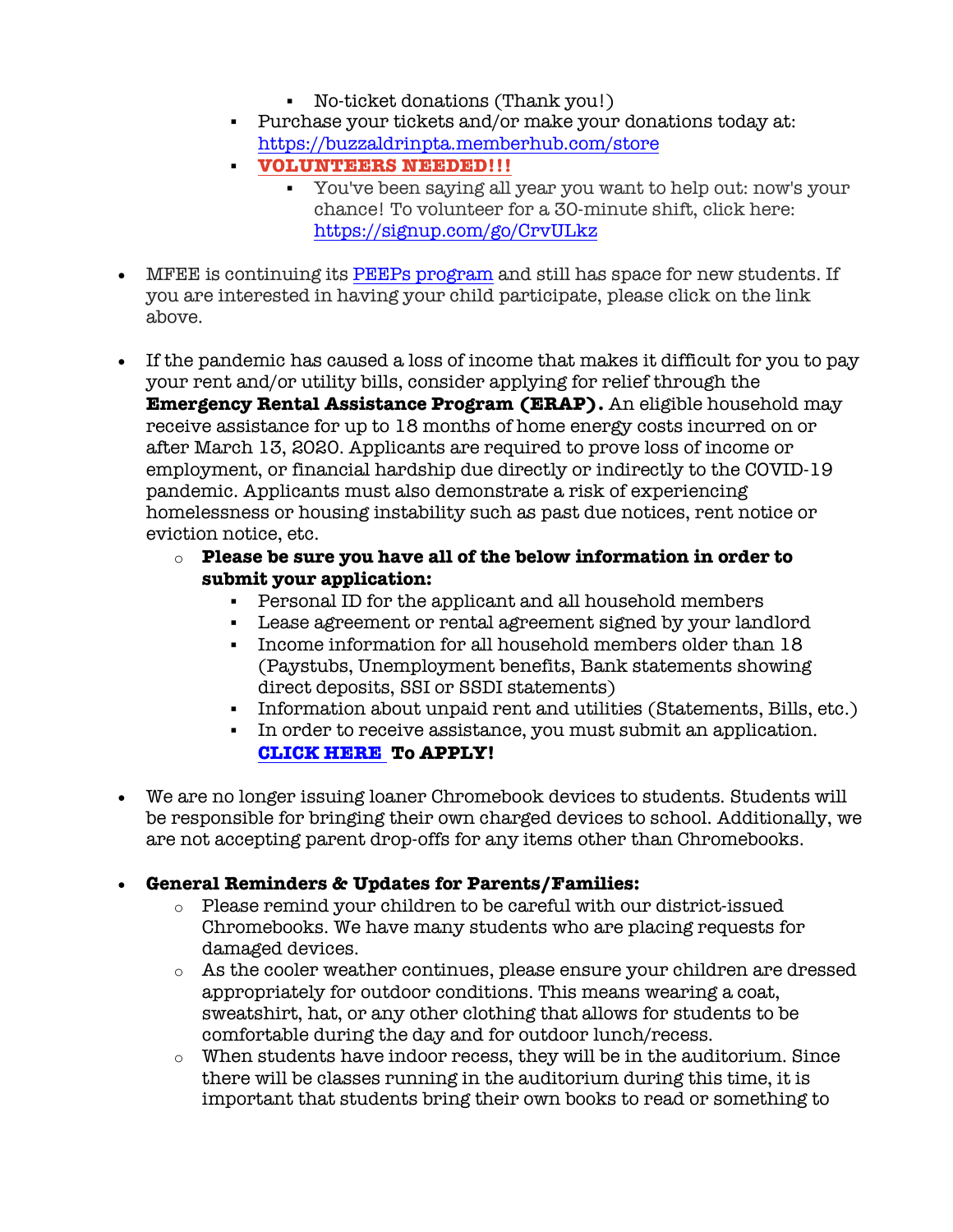- § No-ticket donations (Thank you!)
- Purchase your tickets and/or make your donations today at: https://buzzaldrinpta.memberhub.com/store
- § **VOLUNTEERS NEEDED!!!**
	- § You've been saying all year you want to help out: now's your chance! To volunteer for a 30-minute shift, click here: https://signup.com/go/CrvULkz
- MFEE is continuing its PEEPs program and still has space for new students. If you are interested in having your child participate, please click on the link above.
- If the pandemic has caused a loss of income that makes it difficult for you to pay your rent and/or utility bills, consider applying for relief through the **Emergency Rental Assistance Program (ERAP).** An eligible household may receive assistance for up to 18 months of home energy costs incurred on or after March 13, 2020. Applicants are required to prove loss of income or employment, or financial hardship due directly or indirectly to the COVID-19 pandemic. Applicants must also demonstrate a risk of experiencing homelessness or housing instability such as past due notices, rent notice or eviction notice, etc.
	- o **Please be sure you have all of the below information in order to submit your application:**
		- § Personal ID for the applicant and all household members
		- § Lease agreement or rental agreement signed by your landlord
		- § Income information for all household members older than 18 (Paystubs, Unemployment benefits, Bank statements showing direct deposits, SSI or SSDI statements)
		- § Information about unpaid rent and utilities (Statements, Bills, etc.)
		- § In order to receive assistance, you must submit an application. **CLICK HERE To APPLY!**
- We are no longer issuing loaner Chromebook devices to students. Students will be responsible for bringing their own charged devices to school. Additionally, we are not accepting parent drop-offs for any items other than Chromebooks.

### • **General Reminders & Updates for Parents/Families:**

- o Please remind your children to be careful with our district-issued Chromebooks. We have many students who are placing requests for damaged devices.
- o As the cooler weather continues, please ensure your children are dressed appropriately for outdoor conditions. This means wearing a coat, sweatshirt, hat, or any other clothing that allows for students to be comfortable during the day and for outdoor lunch/recess.
- $\circ$  When students have indoor recess, they will be in the auditorium. Since there will be classes running in the auditorium during this time, it is important that students bring their own books to read or something to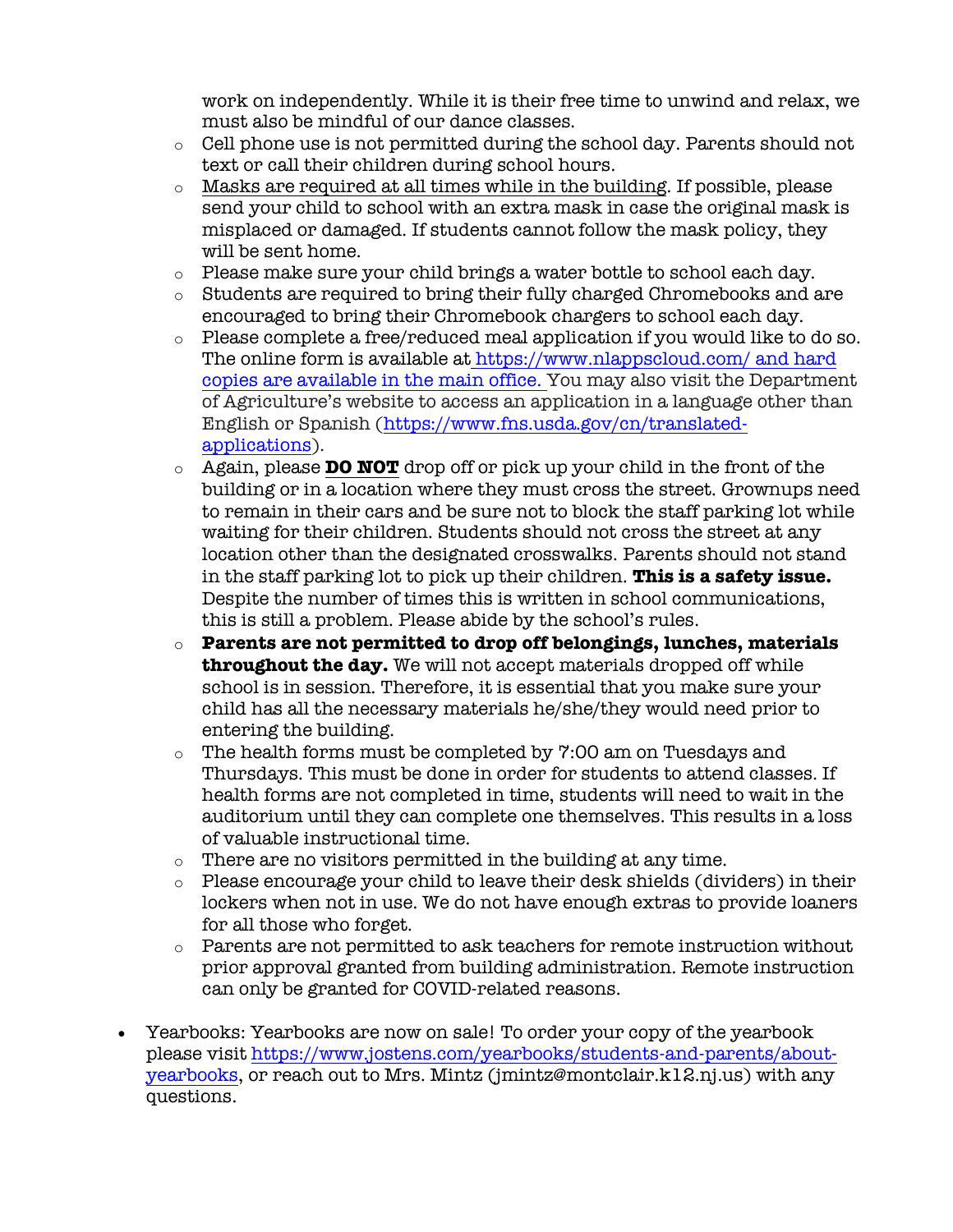work on independently. While it is their free time to unwind and relax, we must also be mindful of our dance classes.

- o Cell phone use is not permitted during the school day. Parents should not text or call their children during school hours.
- o Masks are required at all times while in the building. If possible, please send your child to school with an extra mask in case the original mask is misplaced or damaged. If students cannot follow the mask policy, they will be sent home.
- o Please make sure your child brings a water bottle to school each day.
- $\circ$  Students are required to bring their fully charged Chromebooks and are encouraged to bring their Chromebook chargers to school each day.
- o Please complete a free/reduced meal application if you would like to do so. The online form is available at https://www.nlappscloud.com/ and hard copies are available in the main office. You may also visit the Department of Agriculture's website to access an application in a language other than English or Spanish (https://www.fns.usda.gov/cn/translatedapplications).
- o Again, please **DO NOT** drop off or pick up your child in the front of the building or in a location where they must cross the street. Grownups need to remain in their cars and be sure not to block the staff parking lot while waiting for their children. Students should not cross the street at any location other than the designated crosswalks. Parents should not stand in the staff parking lot to pick up their children. **This is a safety issue.** Despite the number of times this is written in school communications, this is still a problem. Please abide by the school's rules.
- o **Parents are not permitted to drop off belongings, lunches, materials throughout the day.** We will not accept materials dropped off while school is in session. Therefore, it is essential that you make sure your child has all the necessary materials he/she/they would need prior to entering the building.
- o The health forms must be completed by 7:00 am on Tuesdays and Thursdays. This must be done in order for students to attend classes. If health forms are not completed in time, students will need to wait in the auditorium until they can complete one themselves. This results in a loss of valuable instructional time.
- o There are no visitors permitted in the building at any time.
- o Please encourage your child to leave their desk shields (dividers) in their lockers when not in use. We do not have enough extras to provide loaners for all those who forget.
- o Parents are not permitted to ask teachers for remote instruction without prior approval granted from building administration. Remote instruction can only be granted for COVID-related reasons.
- Yearbooks: Yearbooks are now on sale! To order your copy of the yearbook please visit https://www.jostens.com/yearbooks/students-and-parents/aboutyearbooks, or reach out to Mrs. Mintz (jmintz@montclair.k12.nj.us) with any questions.